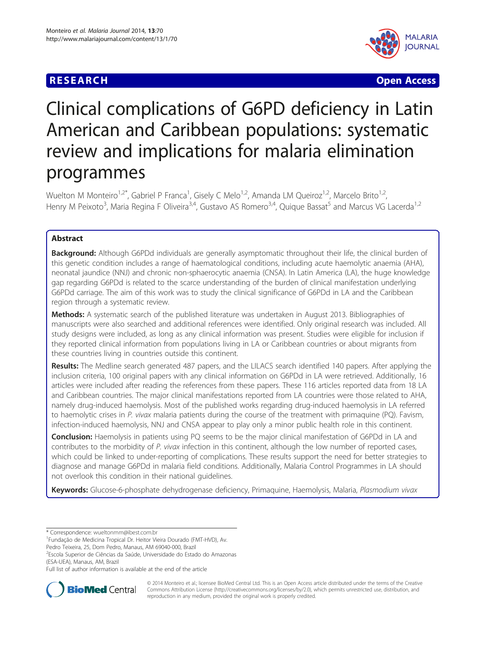# **RESEARCH CHE CHE Open Access**



# Clinical complications of G6PD deficiency in Latin American and Caribbean populations: systematic review and implications for malaria elimination programmes

Wuelton M Monteiro<sup>1,2\*</sup>, Gabriel P Franca<sup>1</sup>, Gisely C Melo<sup>1,2</sup>, Amanda LM Queiroz<sup>1,2</sup>, Marcelo Brito<sup>1,2</sup>, Henry M Peixoto<sup>3</sup>, Maria Regina F Oliveira<sup>3,4</sup>, Gustavo AS Romero<sup>3,4</sup>, Quique Bassat<sup>5</sup> and Marcus VG Lacerda<sup>1,2</sup>

# Abstract

Background: Although G6PDd individuals are generally asymptomatic throughout their life, the clinical burden of this genetic condition includes a range of haematological conditions, including acute haemolytic anaemia (AHA), neonatal jaundice (NNJ) and chronic non-sphaerocytic anaemia (CNSA). In Latin America (LA), the huge knowledge gap regarding G6PDd is related to the scarce understanding of the burden of clinical manifestation underlying G6PDd carriage. The aim of this work was to study the clinical significance of G6PDd in LA and the Caribbean region through a systematic review.

Methods: A systematic search of the published literature was undertaken in August 2013. Bibliographies of manuscripts were also searched and additional references were identified. Only original research was included. All study designs were included, as long as any clinical information was present. Studies were eligible for inclusion if they reported clinical information from populations living in LA or Caribbean countries or about migrants from these countries living in countries outside this continent.

Results: The Medline search generated 487 papers, and the LILACS search identified 140 papers. After applying the inclusion criteria, 100 original papers with any clinical information on G6PDd in LA were retrieved. Additionally, 16 articles were included after reading the references from these papers. These 116 articles reported data from 18 LA and Caribbean countries. The major clinical manifestations reported from LA countries were those related to AHA, namely drug-induced haemolysis. Most of the published works regarding drug-induced haemolysis in LA referred to haemolytic crises in P. vivax malaria patients during the course of the treatment with primaquine (PQ). Favism, infection-induced haemolysis, NNJ and CNSA appear to play only a minor public health role in this continent.

**Conclusion:** Haemolysis in patients using PQ seems to be the major clinical manifestation of G6PDd in LA and contributes to the morbidity of P. vivax infection in this continent, although the low number of reported cases, which could be linked to under-reporting of complications. These results support the need for better strategies to diagnose and manage G6PDd in malaria field conditions. Additionally, Malaria Control Programmes in LA should not overlook this condition in their national guidelines.

Keywords: Glucose-6-phosphate dehydrogenase deficiency, Primaquine, Haemolysis, Malaria, Plasmodium vivax

Pedro Teixeira, 25, Dom Pedro, Manaus, AM 69040-000, Brazil

<sup>2</sup>Escola Superior de Ciências da Saúde, Universidade do Estado do Amazonas (ESA-UEA), Manaus, AM, Brazil

Full list of author information is available at the end of the article



© 2014 Monteiro et al.; licensee BioMed Central Ltd. This is an Open Access article distributed under the terms of the Creative Commons Attribution License [\(http://creativecommons.org/licenses/by/2.0\)](http://creativecommons.org/licenses/by/2.0), which permits unrestricted use, distribution, and reproduction in any medium, provided the original work is properly credited.

<sup>\*</sup> Correspondence: [wueltonmm@ibest.com.br](mailto:wueltonmm@ibest.com.br) <sup>1</sup>

Fundação de Medicina Tropical Dr. Heitor Vieira Dourado (FMT-HVD), Av.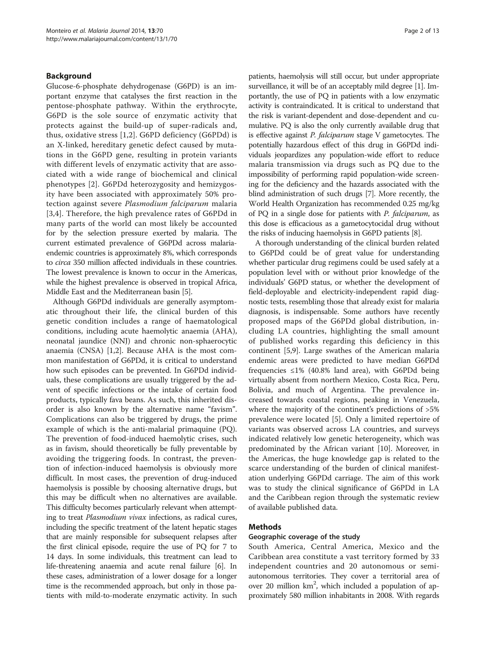# Background

Glucose-6-phosphate dehydrogenase (G6PD) is an important enzyme that catalyses the first reaction in the pentose-phosphate pathway. Within the erythrocyte, G6PD is the sole source of enzymatic activity that protects against the build-up of super-radicals and, thus, oxidative stress [\[1](#page-9-0),[2\]](#page-9-0). G6PD deficiency (G6PDd) is an X-linked, hereditary genetic defect caused by mutations in the G6PD gene, resulting in protein variants with different levels of enzymatic activity that are associated with a wide range of biochemical and clinical phenotypes [\[2](#page-9-0)]. G6PDd heterozygosity and hemizygosity have been associated with approximately 50% protection against severe Plasmodium falciparum malaria [[3,4](#page-9-0)]. Therefore, the high prevalence rates of G6PDd in many parts of the world can most likely be accounted for by the selection pressure exerted by malaria. The current estimated prevalence of G6PDd across malariaendemic countries is approximately 8%, which corresponds to circa 350 million affected individuals in these countries. The lowest prevalence is known to occur in the Americas, while the highest prevalence is observed in tropical Africa, Middle East and the Mediterranean basin [\[5\]](#page-9-0).

Although G6PDd individuals are generally asymptomatic throughout their life, the clinical burden of this genetic condition includes a range of haematological conditions, including acute haemolytic anaemia (AHA), neonatal jaundice (NNJ) and chronic non-sphaerocytic anaemia (CNSA) [\[1,2](#page-9-0)]. Because AHA is the most common manifestation of G6PDd, it is critical to understand how such episodes can be prevented. In G6PDd individuals, these complications are usually triggered by the advent of specific infections or the intake of certain food products, typically fava beans. As such, this inherited disorder is also known by the alternative name "favism". Complications can also be triggered by drugs, the prime example of which is the anti-malarial primaquine (PQ). The prevention of food-induced haemolytic crises, such as in favism, should theoretically be fully preventable by avoiding the triggering foods. In contrast, the prevention of infection-induced haemolysis is obviously more difficult. In most cases, the prevention of drug-induced haemolysis is possible by choosing alternative drugs, but this may be difficult when no alternatives are available. This difficulty becomes particularly relevant when attempting to treat Plasmodium vivax infections, as radical cures, including the specific treatment of the latent hepatic stages that are mainly responsible for subsequent relapses after the first clinical episode, require the use of PQ for 7 to 14 days. In some individuals, this treatment can lead to life-threatening anaemia and acute renal failure [[6](#page-9-0)]. In these cases, administration of a lower dosage for a longer time is the recommended approach, but only in those patients with mild-to-moderate enzymatic activity. In such

patients, haemolysis will still occur, but under appropriate surveillance, it will be of an acceptably mild degree [\[1](#page-9-0)]. Importantly, the use of PQ in patients with a low enzymatic activity is contraindicated. It is critical to understand that the risk is variant-dependent and dose-dependent and cumulative. PQ is also the only currently available drug that is effective against *P. falciparum* stage V gametocytes. The potentially hazardous effect of this drug in G6PDd individuals jeopardizes any population-wide effort to reduce malaria transmission via drugs such as PQ due to the impossibility of performing rapid population-wide screening for the deficiency and the hazards associated with the blind administration of such drugs [[7](#page-9-0)]. More recently, the World Health Organization has recommended 0.25 mg/kg of PQ in a single dose for patients with P. falciparum, as this dose is efficacious as a gametocytocidal drug without the risks of inducing haemolysis in G6PD patients [\[8](#page-9-0)].

A thorough understanding of the clinical burden related to G6PDd could be of great value for understanding whether particular drug regimens could be used safely at a population level with or without prior knowledge of the individuals' G6PD status, or whether the development of field-deployable and electricity-independent rapid diagnostic tests, resembling those that already exist for malaria diagnosis, is indispensable. Some authors have recently proposed maps of the G6PDd global distribution, including LA countries, highlighting the small amount of published works regarding this deficiency in this continent [\[5,9\]](#page-9-0). Large swathes of the American malaria endemic areas were predicted to have median G6PDd frequencies  $\leq 1\%$  (40.8% land area), with G6PDd being virtually absent from northern Mexico, Costa Rica, Peru, Bolivia, and much of Argentina. The prevalence increased towards coastal regions, peaking in Venezuela, where the majority of the continent's predictions of >5% prevalence were located [\[5\]](#page-9-0). Only a limited repertoire of variants was observed across LA countries, and surveys indicated relatively low genetic heterogeneity, which was predominated by the African variant [[10\]](#page-9-0). Moreover, in the Americas, the huge knowledge gap is related to the scarce understanding of the burden of clinical manifestation underlying G6PDd carriage. The aim of this work was to study the clinical significance of G6PDd in LA and the Caribbean region through the systematic review of available published data.

#### Methods

#### Geographic coverage of the study

South America, Central America, Mexico and the Caribbean area constitute a vast territory formed by 33 independent countries and 20 autonomous or semiautonomous territories. They cover a territorial area of over 20 million km<sup>2</sup>, which included a population of approximately 580 million inhabitants in 2008. With regards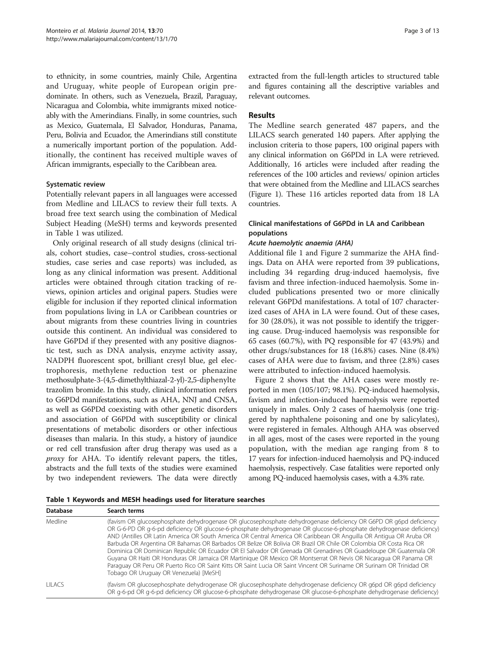to ethnicity, in some countries, mainly Chile, Argentina and Uruguay, white people of European origin predominate. In others, such as Venezuela, Brazil, Paraguay, Nicaragua and Colombia, white immigrants mixed noticeably with the Amerindians. Finally, in some countries, such as Mexico, Guatemala, El Salvador, Honduras, Panama, Peru, Bolivia and Ecuador, the Amerindians still constitute a numerically important portion of the population. Additionally, the continent has received multiple waves of African immigrants, especially to the Caribbean area.

#### Systematic review

Potentially relevant papers in all languages were accessed from Medline and LILACS to review their full texts. A broad free text search using the combination of Medical Subject Heading (MeSH) terms and keywords presented in Table 1 was utilized.

Only original research of all study designs (clinical trials, cohort studies, case–control studies, cross-sectional studies, case series and case reports) was included, as long as any clinical information was present. Additional articles were obtained through citation tracking of reviews, opinion articles and original papers. Studies were eligible for inclusion if they reported clinical information from populations living in LA or Caribbean countries or about migrants from these countries living in countries outside this continent. An individual was considered to have G6PDd if they presented with any positive diagnostic test, such as DNA analysis, enzyme activity assay, NADPH fluorescent spot, brilliant cresyl blue, gel electrophoresis, methylene reduction test or phenazine methosulphate-3-(4,5-dimethylthiazal-2-yl)-2,5-diphenylte trazolim bromide. In this study, clinical information refers to G6PDd manifestations, such as AHA, NNJ and CNSA, as well as G6PDd coexisting with other genetic disorders and association of G6PDd with susceptibility or clinical presentations of metabolic disorders or other infectious diseases than malaria. In this study, a history of jaundice or red cell transfusion after drug therapy was used as a proxy for AHA. To identify relevant papers, the titles, abstracts and the full texts of the studies were examined by two independent reviewers. The data were directly

extracted from the full-length articles to structured table and figures containing all the descriptive variables and relevant outcomes.

# **Results**

The Medline search generated 487 papers, and the LILACS search generated 140 papers. After applying the inclusion criteria to those papers, 100 original papers with any clinical information on G6PDd in LA were retrieved. Additionally, 16 articles were included after reading the references of the 100 articles and reviews/ opinion articles that were obtained from the Medline and LILACS searches (Figure [1\)](#page-3-0). These 116 articles reported data from 18 LA countries.

# Clinical manifestations of G6PDd in LA and Caribbean populations

#### Acute haemolytic anaemia (AHA)

Additional file [1](#page-8-0) and Figure [2](#page-3-0) summarize the AHA findings. Data on AHA were reported from 39 publications, including 34 regarding drug-induced haemolysis, five favism and three infection-induced haemolysis. Some included publications presented two or more clinically relevant G6PDd manifestations. A total of 107 characterized cases of AHA in LA were found. Out of these cases, for 30 (28.0%), it was not possible to identify the triggering cause. Drug-induced haemolysis was responsible for 65 cases (60.7%), with PQ responsible for 47 (43.9%) and other drugs/substances for 18 (16.8%) cases. Nine (8.4%) cases of AHA were due to favism, and three (2.8%) cases were attributed to infection-induced haemolysis.

Figure [2](#page-3-0) shows that the AHA cases were mostly reported in men (105/107; 98.1%). PQ-induced haemolysis, favism and infection-induced haemolysis were reported uniquely in males. Only 2 cases of haemolysis (one triggered by naphthalene poisoning and one by salicylates), were registered in females. Although AHA was observed in all ages, most of the cases were reported in the young population, with the median age ranging from 8 to 17 years for infection-induced haemolysis and PQ-induced haemolysis, respectively. Case fatalities were reported only among PQ-induced haemolysis cases, with a 4.3% rate.

Table 1 Keywords and MESH headings used for literature searches

| <b>Database</b> | Search terms                                                                                                                                                                                                                                                                                                                                                                                                                                                                                                                                                                                                                                                                                                                                                                                                                                                                                |
|-----------------|---------------------------------------------------------------------------------------------------------------------------------------------------------------------------------------------------------------------------------------------------------------------------------------------------------------------------------------------------------------------------------------------------------------------------------------------------------------------------------------------------------------------------------------------------------------------------------------------------------------------------------------------------------------------------------------------------------------------------------------------------------------------------------------------------------------------------------------------------------------------------------------------|
| Medline         | (favism OR glucosephosphate dehydrogenase OR glucosephosphate dehydrogenase deficiency OR G6PD OR g6pd deficiency<br>OR G-6-PD OR q-6-pd deficiency OR glucose-6-phosphate dehydrogenase OR glucose-6-phosphate dehydrogenase deficiency)<br>AND (Antilles OR Latin America OR South America OR Central America OR Caribbean OR Anguilla OR Antigua OR Aruba OR<br>Barbuda OR Argentina OR Bahamas OR Barbados OR Belize OR Bolivia OR Brazil OR Chile OR Colombia OR Costa Rica OR<br>Dominica OR Dominican Republic OR Ecuador OR El Salvador OR Grenada OR Grenadines OR Guadeloupe OR Guatemala OR<br>Guyana OR Haiti OR Honduras OR Jamaica OR Martinique OR Mexico OR Montserrat OR Nevis OR Nicaragua OR Panama OR<br>Paraquay OR Peru OR Puerto Rico OR Saint Kitts OR Saint Lucia OR Saint Vincent OR Suriname OR Surinam OR Trinidad OR<br>Tobago OR Uruguay OR Venezuela) [MeSH] |
| LILACS.         | (favism OR glucosephosphate dehydrogenase OR glucosephosphate dehydrogenase deficiency OR g6pd OR g6pd deficiency<br>OR q-6-pd OR q-6-pd deficiency OR glucose-6-phosphate dehydrogenase OR glucose-6-phosphate dehydrogenase deficiency)                                                                                                                                                                                                                                                                                                                                                                                                                                                                                                                                                                                                                                                   |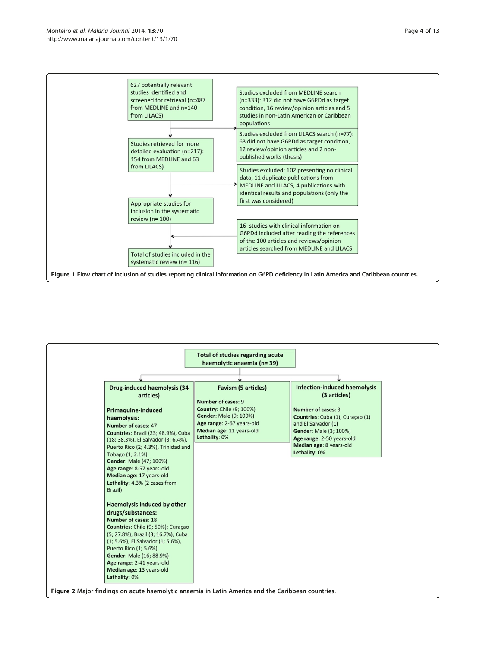<span id="page-3-0"></span>

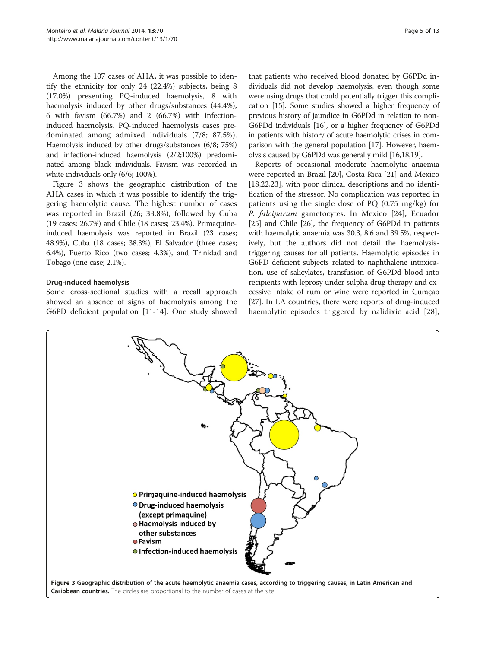Among the 107 cases of AHA, it was possible to identify the ethnicity for only 24 (22.4%) subjects, being 8 (17.0%) presenting PQ-induced haemolysis, 8 with haemolysis induced by other drugs/substances (44.4%), 6 with favism (66.7%) and 2 (66.7%) with infectioninduced haemolysis. PQ-induced haemolysis cases predominated among admixed individuals (7/8; 87.5%). Haemolysis induced by other drugs/substances (6/8; 75%) and infection-induced haemolysis (2/2;100%) predominated among black individuals. Favism was recorded in white individuals only (6/6; 100%).

Figure 3 shows the geographic distribution of the AHA cases in which it was possible to identify the triggering haemolytic cause. The highest number of cases was reported in Brazil (26; 33.8%), followed by Cuba (19 cases; 26.7%) and Chile (18 cases; 23.4%). Primaquineinduced haemolysis was reported in Brazil (23 cases; 48.9%), Cuba (18 cases; 38.3%), El Salvador (three cases; 6.4%), Puerto Rico (two cases; 4.3%), and Trinidad and Tobago (one case; 2.1%).

# Drug-induced haemolysis

Some cross-sectional studies with a recall approach showed an absence of signs of haemolysis among the G6PD deficient population [[11-14](#page-9-0)]. One study showed

that patients who received blood donated by G6PDd individuals did not develop haemolysis, even though some were using drugs that could potentially trigger this complication [[15](#page-9-0)]. Some studies showed a higher frequency of previous history of jaundice in G6PDd in relation to non-G6PDd individuals [\[16\]](#page-9-0), or a higher frequency of G6PDd in patients with history of acute haemolytic crises in comparison with the general population [\[17\]](#page-9-0). However, haemolysis caused by G6PDd was generally mild [\[16,18,19\]](#page-9-0).

Reports of occasional moderate haemolytic anaemia were reported in Brazil [[20\]](#page-9-0), Costa Rica [[21\]](#page-9-0) and Mexico [[18,22,23\]](#page-9-0), with poor clinical descriptions and no identification of the stressor. No complication was reported in patients using the single dose of PQ (0.75 mg/kg) for P. falciparum gametocytes. In Mexico [[24](#page-9-0)], Ecuador [[25](#page-9-0)] and Chile [\[26](#page-9-0)], the frequency of G6PDd in patients with haemolytic anaemia was 30.3, 8.6 and 39.5%, respectively, but the authors did not detail the haemolysistriggering causes for all patients. Haemolytic episodes in G6PD deficient subjects related to naphthalene intoxication, use of salicylates, transfusion of G6PDd blood into recipients with leprosy under sulpha drug therapy and excessive intake of rum or wine were reported in Curaçao [[27](#page-9-0)]. In LA countries, there were reports of drug-induced haemolytic episodes triggered by nalidixic acid [[28](#page-9-0)],

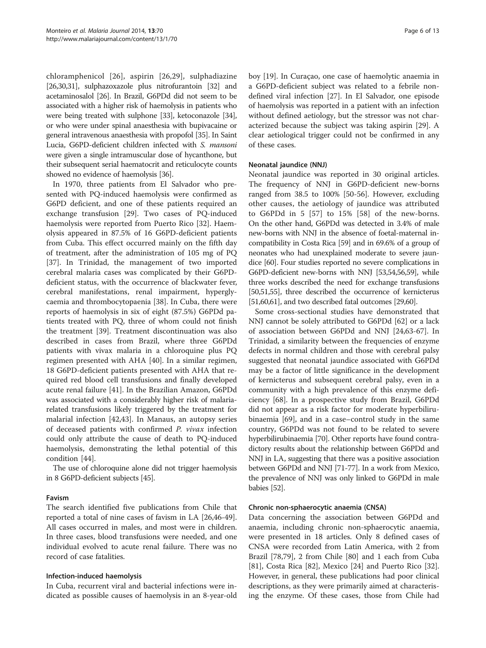chloramphenicol [[26\]](#page-9-0), aspirin [\[26](#page-9-0),[29\]](#page-9-0), sulphadiazine [[26,30,31](#page-9-0)], sulphazoxazole plus nitrofurantoin [\[32\]](#page-10-0) and acetaminosalol [[26](#page-9-0)]. In Brazil, G6PDd did not seem to be associated with a higher risk of haemolysis in patients who were being treated with sulphone [\[33\]](#page-10-0), ketoconazole [[34](#page-10-0)], or who were under spinal anaesthesia with bupivacaine or general intravenous anaesthesia with propofol [\[35](#page-10-0)]. In Saint Lucia, G6PD-deficient children infected with S. mansoni were given a single intramuscular dose of hycanthone, but their subsequent serial haematocrit and reticulocyte counts showed no evidence of haemolysis [\[36](#page-10-0)].

In 1970, three patients from El Salvador who presented with PQ-induced haemolysis were confirmed as G6PD deficient, and one of these patients required an exchange transfusion [[29\]](#page-9-0). Two cases of PQ-induced haemolysis were reported from Puerto Rico [[32\]](#page-10-0). Haemolysis appeared in 87.5% of 16 G6PD-deficient patients from Cuba. This effect occurred mainly on the fifth day of treatment, after the administration of 105 mg of PQ [[37\]](#page-10-0). In Trinidad, the management of two imported cerebral malaria cases was complicated by their G6PDdeficient status, with the occurrence of blackwater fever, cerebral manifestations, renal impairment, hyperglycaemia and thrombocytopaenia [\[38\]](#page-10-0). In Cuba, there were reports of haemolysis in six of eight (87.5%) G6PDd patients treated with PQ, three of whom could not finish the treatment [[39\]](#page-10-0). Treatment discontinuation was also described in cases from Brazil, where three G6PDd patients with vivax malaria in a chloroquine plus PQ regimen presented with AHA [[40\]](#page-10-0). In a similar regimen, 18 G6PD-deficient patients presented with AHA that required red blood cell transfusions and finally developed acute renal failure [[41](#page-10-0)]. In the Brazilian Amazon, G6PDd was associated with a considerably higher risk of malariarelated transfusions likely triggered by the treatment for malarial infection [[42,43](#page-10-0)]. In Manaus, an autopsy series of deceased patients with confirmed P. vivax infection could only attribute the cause of death to PQ-induced haemolysis, demonstrating the lethal potential of this condition [\[44](#page-10-0)].

The use of chloroquine alone did not trigger haemolysis in 8 G6PD-deficient subjects [[45](#page-10-0)].

# Favism

The search identified five publications from Chile that reported a total of nine cases of favism in LA [\[26,](#page-9-0)[46-49](#page-10-0)]. All cases occurred in males, and most were in children. In three cases, blood transfusions were needed, and one individual evolved to acute renal failure. There was no record of case fatalities.

#### Infection-induced haemolysis

In Cuba, recurrent viral and bacterial infections were indicated as possible causes of haemolysis in an 8-year-old boy [[19\]](#page-9-0). In Curaçao, one case of haemolytic anaemia in a G6PD-deficient subject was related to a febrile nondefined viral infection [\[27\]](#page-9-0). In El Salvador, one episode of haemolysis was reported in a patient with an infection without defined aetiology, but the stressor was not characterized because the subject was taking aspirin [[29](#page-9-0)]. A clear aetiological trigger could not be confirmed in any of these cases.

# Neonatal jaundice (NNJ)

Neonatal jaundice was reported in 30 original articles. The frequency of NNJ in G6PD-deficient new-borns ranged from 38.5 to 100% [\[50-56](#page-10-0)]. However, excluding other causes, the aetiology of jaundice was attributed to G6PDd in 5 [[57](#page-10-0)] to 15% [[58\]](#page-10-0) of the new-borns. On the other hand, G6PDd was detected in 3.4% of male new-borns with NNJ in the absence of foetal-maternal incompatibility in Costa Rica [[59](#page-10-0)] and in 69.6% of a group of neonates who had unexplained moderate to severe jaundice [[60](#page-10-0)]. Four studies reported no severe complications in G6PD-deficient new-borns with NNJ [\[53,54,56](#page-10-0),[59\]](#page-10-0), while three works described the need for exchange transfusions [[50,51,55](#page-10-0)], three described the occurrence of kernicterus [[51,60,61](#page-10-0)], and two described fatal outcomes [[29](#page-9-0)[,60\]](#page-10-0).

Some cross-sectional studies have demonstrated that NNJ cannot be solely attributed to G6PDd [[62\]](#page-10-0) or a lack of association between G6PDd and NNJ [[24,](#page-9-0)[63-67](#page-10-0)]. In Trinidad, a similarity between the frequencies of enzyme defects in normal children and those with cerebral palsy suggested that neonatal jaundice associated with G6PDd may be a factor of little significance in the development of kernicterus and subsequent cerebral palsy, even in a community with a high prevalence of this enzyme deficiency [[68](#page-10-0)]. In a prospective study from Brazil, G6PDd did not appear as a risk factor for moderate hyperbilirubinaemia [[69\]](#page-10-0), and in a case–control study in the same country, G6PDd was not found to be related to severe hyperbilirubinaemia [\[70\]](#page-10-0). Other reports have found contradictory results about the relationship between G6PDd and NNJ in LA, suggesting that there was a positive association between G6PDd and NNJ [\[71](#page-10-0)[-77\]](#page-11-0). In a work from Mexico, the prevalence of NNJ was only linked to G6PDd in male babies [[52](#page-10-0)].

# Chronic non-sphaerocytic anaemia (CNSA)

Data concerning the association between G6PDd and anaemia, including chronic non-sphaerocytic anaemia, were presented in 18 articles. Only 8 defined cases of CNSA were recorded from Latin America, with 2 from Brazil [\[78,79\]](#page-11-0), 2 from Chile [[80\]](#page-11-0) and 1 each from Cuba [[81\]](#page-11-0), Costa Rica [\[82](#page-11-0)], Mexico [[24\]](#page-9-0) and Puerto Rico [\[32](#page-10-0)]. However, in general, these publications had poor clinical descriptions, as they were primarily aimed at characterising the enzyme. Of these cases, those from Chile had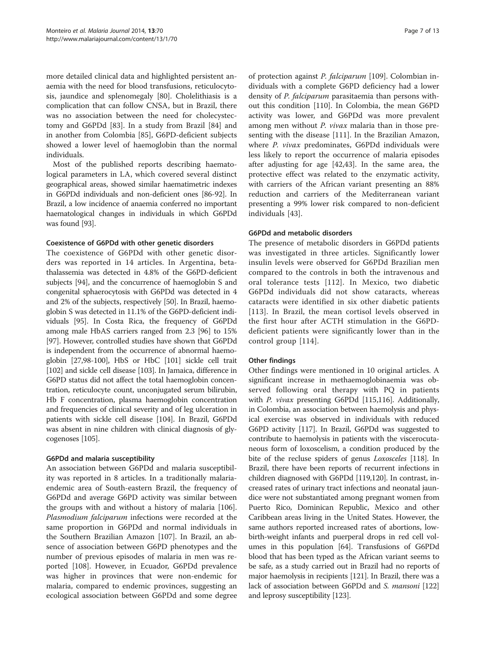more detailed clinical data and highlighted persistent anaemia with the need for blood transfusions, reticulocytosis, jaundice and splenomegaly [[80](#page-11-0)]. Cholelithiasis is a complication that can follow CNSA, but in Brazil, there was no association between the need for cholecystectomy and G6PDd [[83\]](#page-11-0). In a study from Brazil [[84](#page-11-0)] and in another from Colombia [\[85](#page-11-0)], G6PD-deficient subjects showed a lower level of haemoglobin than the normal individuals.

Most of the published reports describing haematological parameters in LA, which covered several distinct geographical areas, showed similar haematimetric indexes in G6PDd individuals and non-deficient ones [\[86-92\]](#page-11-0). In Brazil, a low incidence of anaemia conferred no important haematological changes in individuals in which G6PDd was found [\[93](#page-11-0)].

# Coexistence of G6PDd with other genetic disorders

The coexistence of G6PDd with other genetic disorders was reported in 14 articles. In Argentina, betathalassemia was detected in 4.8% of the G6PD-deficient subjects [\[94\]](#page-11-0), and the concurrence of haemoglobin S and congenital sphaerocytosis with G6PDd was detected in 4 and 2% of the subjects, respectively [[50](#page-10-0)]. In Brazil, haemoglobin S was detected in 11.1% of the G6PD-deficient individuals [\[95](#page-11-0)]. In Costa Rica, the frequency of G6PDd among male HbAS carriers ranged from 2.3 [[96](#page-11-0)] to 15% [[97](#page-11-0)]. However, controlled studies have shown that G6PDd is independent from the occurrence of abnormal haemoglobin [\[27,](#page-9-0)[98](#page-11-0)-[100](#page-11-0)], HbS or HbC [\[101\]](#page-11-0) sickle cell trait [[102](#page-11-0)] and sickle cell disease [\[103](#page-11-0)]. In Jamaica, difference in G6PD status did not affect the total haemoglobin concentration, reticulocyte count, unconjugated serum bilirubin, Hb F concentration, plasma haemoglobin concentration and frequencies of clinical severity and of leg ulceration in patients with sickle cell disease [[104](#page-11-0)]. In Brazil, G6PDd was absent in nine children with clinical diagnosis of glycogenoses [[105](#page-11-0)].

# G6PDd and malaria susceptibility

An association between G6PDd and malaria susceptibility was reported in 8 articles. In a traditionally malariaendemic area of South-eastern Brazil, the frequency of G6PDd and average G6PD activity was similar between the groups with and without a history of malaria [\[106](#page-11-0)]. Plasmodium falciparum infections were recorded at the same proportion in G6PDd and normal individuals in the Southern Brazilian Amazon [[107\]](#page-11-0). In Brazil, an absence of association between G6PD phenotypes and the number of previous episodes of malaria in men was reported [[108](#page-11-0)]. However, in Ecuador, G6PDd prevalence was higher in provinces that were non-endemic for malaria, compared to endemic provinces, suggesting an ecological association between G6PDd and some degree

of protection against P. falciparum [\[109](#page-11-0)]. Colombian individuals with a complete G6PD deficiency had a lower density of *P. falciparum* parasitaemia than persons without this condition [\[110](#page-11-0)]. In Colombia, the mean G6PD activity was lower, and G6PDd was more prevalent among men without P. vivax malaria than in those presenting with the disease [[111](#page-11-0)]. In the Brazilian Amazon, where P. vivax predominates, G6PDd individuals were less likely to report the occurrence of malaria episodes after adjusting for age [\[42,43\]](#page-10-0). In the same area, the protective effect was related to the enzymatic activity, with carriers of the African variant presenting an 88% reduction and carriers of the Mediterranean variant presenting a 99% lower risk compared to non-deficient individuals [[43](#page-10-0)].

# G6PDd and metabolic disorders

The presence of metabolic disorders in G6PDd patients was investigated in three articles. Significantly lower insulin levels were observed for G6PDd Brazilian men compared to the controls in both the intravenous and oral tolerance tests [\[112\]](#page-11-0). In Mexico, two diabetic G6PDd individuals did not show cataracts, whereas cataracts were identified in six other diabetic patients [[113](#page-11-0)]. In Brazil, the mean cortisol levels observed in the first hour after ACTH stimulation in the G6PDdeficient patients were significantly lower than in the control group [\[114](#page-11-0)].

# Other findings

Other findings were mentioned in 10 original articles. A significant increase in methaemoglobinaemia was observed following oral therapy with PQ in patients with P. vivax presenting G6PDd [\[115,116](#page-11-0)]. Additionally, in Colombia, an association between haemolysis and physical exercise was observed in individuals with reduced G6PD activity [\[117\]](#page-11-0). In Brazil, G6PDd was suggested to contribute to haemolysis in patients with the viscerocutaneous form of loxoscelism, a condition produced by the bite of the recluse spiders of genus Loxosceles [\[118](#page-11-0)]. In Brazil, there have been reports of recurrent infections in children diagnosed with G6PDd [\[119,](#page-11-0)[120](#page-12-0)]. In contrast, increased rates of urinary tract infections and neonatal jaundice were not substantiated among pregnant women from Puerto Rico, Dominican Republic, Mexico and other Caribbean areas living in the United States. However, the same authors reported increased rates of abortions, lowbirth-weight infants and puerperal drops in red cell volumes in this population [[64](#page-10-0)]. Transfusions of G6PDd blood that has been typed as the African variant seems to be safe, as a study carried out in Brazil had no reports of major haemolysis in recipients [\[121\]](#page-12-0). In Brazil, there was a lack of association between G6PDd and *S. mansoni* [\[122](#page-12-0)] and leprosy susceptibility [\[123\]](#page-12-0).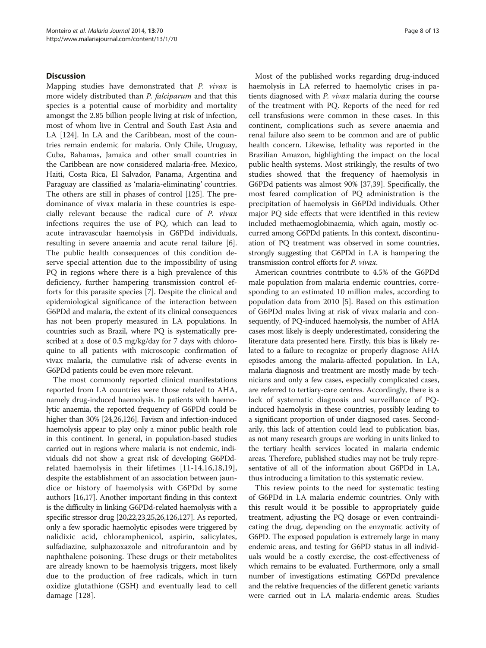#### **Discussion**

Mapping studies have demonstrated that P. vivax is more widely distributed than P. falciparum and that this species is a potential cause of morbidity and mortality amongst the 2.85 billion people living at risk of infection, most of whom live in Central and South East Asia and LA [[124](#page-12-0)]. In LA and the Caribbean, most of the countries remain endemic for malaria. Only Chile, Uruguay, Cuba, Bahamas, Jamaica and other small countries in the Caribbean are now considered malaria-free. Mexico, Haiti, Costa Rica, El Salvador, Panama, Argentina and Paraguay are classified as 'malaria-eliminating' countries. The others are still in phases of control [\[125\]](#page-12-0). The predominance of vivax malaria in these countries is especially relevant because the radical cure of P. vivax infections requires the use of PQ, which can lead to acute intravascular haemolysis in G6PDd individuals, resulting in severe anaemia and acute renal failure [\[6](#page-9-0)]. The public health consequences of this condition deserve special attention due to the impossibility of using PQ in regions where there is a high prevalence of this deficiency, further hampering transmission control efforts for this parasite species [[7](#page-9-0)]. Despite the clinical and epidemiological significance of the interaction between G6PDd and malaria, the extent of its clinical consequences has not been properly measured in LA populations. In countries such as Brazil, where PQ is systematically prescribed at a dose of 0.5 mg/kg/day for 7 days with chloroquine to all patients with microscopic confirmation of vivax malaria, the cumulative risk of adverse events in G6PDd patients could be even more relevant.

The most commonly reported clinical manifestations reported from LA countries were those related to AHA, namely drug-induced haemolysis. In patients with haemolytic anaemia, the reported frequency of G6PDd could be higher than 30% [[24,26,](#page-9-0)[126](#page-12-0)]. Favism and infection-induced haemolysis appear to play only a minor public health role in this continent. In general, in population-based studies carried out in regions where malaria is not endemic, individuals did not show a great risk of developing G6PDdrelated haemolysis in their lifetimes [[11-14,16](#page-9-0),[18,19](#page-9-0)], despite the establishment of an association between jaundice or history of haemolysis with G6PDd by some authors [[16,17\]](#page-9-0). Another important finding in this context is the difficulty in linking G6PDd-related haemolysis with a specific stressor drug [[20,22,23,25,26](#page-9-0)[,126,127\]](#page-12-0). As reported, only a few sporadic haemolytic episodes were triggered by nalidixic acid, chloramphenicol, aspirin, salicylates, sulfadiazine, sulphazoxazole and nitrofurantoin and by naphthalene poisoning. These drugs or their metabolites are already known to be haemolysis triggers, most likely due to the production of free radicals, which in turn oxidize glutathione (GSH) and eventually lead to cell damage [[128](#page-12-0)].

Most of the published works regarding drug-induced haemolysis in LA referred to haemolytic crises in patients diagnosed with P. vivax malaria during the course of the treatment with PQ. Reports of the need for red cell transfusions were common in these cases. In this continent, complications such as severe anaemia and renal failure also seem to be common and are of public health concern. Likewise, lethality was reported in the Brazilian Amazon, highlighting the impact on the local public health systems. Most strikingly, the results of two studies showed that the frequency of haemolysis in G6PDd patients was almost 90% [[37,39\]](#page-10-0). Specifically, the most feared complication of PQ administration is the precipitation of haemolysis in G6PDd individuals. Other major PQ side effects that were identified in this review included methaemoglobinaemia, which again, mostly occurred among G6PDd patients. In this context, discontinuation of PQ treatment was observed in some countries, strongly suggesting that G6PDd in LA is hampering the transmission control efforts for P. vivax.

American countries contribute to 4.5% of the G6PDd male population from malaria endemic countries, corresponding to an estimated 10 million males, according to population data from 2010 [[5](#page-9-0)]. Based on this estimation of G6PDd males living at risk of vivax malaria and consequently, of PQ-induced haemolysis, the number of AHA cases most likely is deeply underestimated, considering the literature data presented here. Firstly, this bias is likely related to a failure to recognize or properly diagnose AHA episodes among the malaria-affected population. In LA, malaria diagnosis and treatment are mostly made by technicians and only a few cases, especially complicated cases, are referred to tertiary-care centres. Accordingly, there is a lack of systematic diagnosis and surveillance of PQinduced haemolysis in these countries, possibly leading to a significant proportion of under diagnosed cases. Secondarily, this lack of attention could lead to publication bias, as not many research groups are working in units linked to the tertiary health services located in malaria endemic areas. Therefore, published studies may not be truly representative of all of the information about G6PDd in LA, thus introducing a limitation to this systematic review.

This review points to the need for systematic testing of G6PDd in LA malaria endemic countries. Only with this result would it be possible to appropriately guide treatment, adjusting the PQ dosage or even contraindicating the drug, depending on the enzymatic activity of G6PD. The exposed population is extremely large in many endemic areas, and testing for G6PD status in all individuals would be a costly exercise, the cost-effectiveness of which remains to be evaluated. Furthermore, only a small number of investigations estimating G6PDd prevalence and the relative frequencies of the different genetic variants were carried out in LA malaria-endemic areas. Studies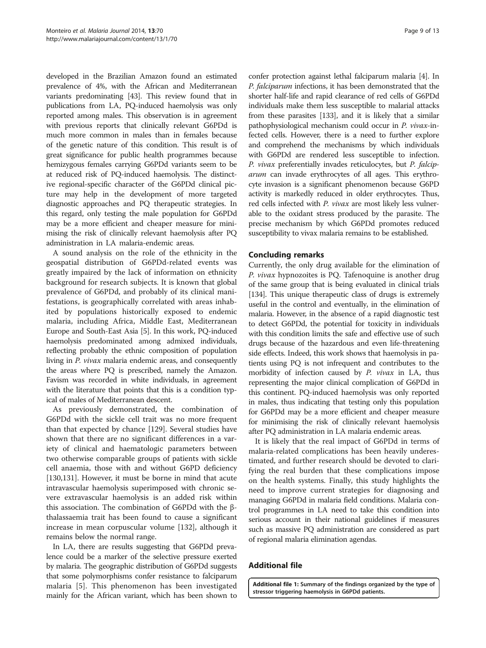<span id="page-8-0"></span>developed in the Brazilian Amazon found an estimated prevalence of 4%, with the African and Mediterranean variants predominating [\[43\]](#page-10-0). This review found that in publications from LA, PQ-induced haemolysis was only reported among males. This observation is in agreement with previous reports that clinically relevant G6PDd is much more common in males than in females because of the genetic nature of this condition. This result is of great significance for public health programmes because hemizygous females carrying G6PDd variants seem to be at reduced risk of PQ-induced haemolysis. The distinctive regional-specific character of the G6PDd clinical picture may help in the development of more targeted diagnostic approaches and PQ therapeutic strategies. In this regard, only testing the male population for G6PDd may be a more efficient and cheaper measure for minimising the risk of clinically relevant haemolysis after PQ administration in LA malaria-endemic areas.

A sound analysis on the role of the ethnicity in the geospatial distribution of G6PDd-related events was greatly impaired by the lack of information on ethnicity background for research subjects. It is known that global prevalence of G6PDd, and probably of its clinical manifestations, is geographically correlated with areas inhabited by populations historically exposed to endemic malaria, including Africa, Middle East, Mediterranean Europe and South-East Asia [\[5](#page-9-0)]. In this work, PQ-induced haemolysis predominated among admixed individuals, reflecting probably the ethnic composition of population living in P. vivax malaria endemic areas, and consequently the areas where PQ is prescribed, namely the Amazon. Favism was recorded in white individuals, in agreement with the literature that points that this is a condition typical of males of Mediterranean descent.

As previously demonstrated, the combination of G6PDd with the sickle cell trait was no more frequent than that expected by chance [[129\]](#page-12-0). Several studies have shown that there are no significant differences in a variety of clinical and haematologic parameters between two otherwise comparable groups of patients with sickle cell anaemia, those with and without G6PD deficiency [[130,131](#page-12-0)]. However, it must be borne in mind that acute intravascular haemolysis superimposed with chronic severe extravascular haemolysis is an added risk within this association. The combination of G6PDd with the βthalassaemia trait has been found to cause a significant increase in mean corpuscular volume [\[132\]](#page-12-0), although it remains below the normal range.

In LA, there are results suggesting that G6PDd prevalence could be a marker of the selective pressure exerted by malaria. The geographic distribution of G6PDd suggests that some polymorphisms confer resistance to falciparum malaria [\[5](#page-9-0)]. This phenomenon has been investigated mainly for the African variant, which has been shown to

confer protection against lethal falciparum malaria [\[4](#page-9-0)]. In P. falciparum infections, it has been demonstrated that the shorter half-life and rapid clearance of red cells of G6PDd individuals make them less susceptible to malarial attacks from these parasites [[133](#page-12-0)], and it is likely that a similar pathophysiological mechanism could occur in P. vivax-infected cells. However, there is a need to further explore and comprehend the mechanisms by which individuals with G6PDd are rendered less susceptible to infection. P. vivax preferentially invades reticulocytes, but P. falciparum can invade erythrocytes of all ages. This erythrocyte invasion is a significant phenomenon because G6PD activity is markedly reduced in older erythrocytes. Thus, red cells infected with P. vivax are most likely less vulnerable to the oxidant stress produced by the parasite. The precise mechanism by which G6PDd promotes reduced susceptibility to vivax malaria remains to be established.

# Concluding remarks

Currently, the only drug available for the elimination of P. vivax hypnozoites is PQ. Tafenoquine is another drug of the same group that is being evaluated in clinical trials [[134\]](#page-12-0). This unique therapeutic class of drugs is extremely useful in the control and eventually, in the elimination of malaria. However, in the absence of a rapid diagnostic test to detect G6PDd, the potential for toxicity in individuals with this condition limits the safe and effective use of such drugs because of the hazardous and even life-threatening side effects. Indeed, this work shows that haemolysis in patients using PQ is not infrequent and contributes to the morbidity of infection caused by P. vivax in LA, thus representing the major clinical complication of G6PDd in this continent. PQ-induced haemolysis was only reported in males, thus indicating that testing only this population for G6PDd may be a more efficient and cheaper measure for minimising the risk of clinically relevant haemolysis after PQ administration in LA malaria endemic areas.

It is likely that the real impact of G6PDd in terms of malaria-related complications has been heavily underestimated, and further research should be devoted to clarifying the real burden that these complications impose on the health systems. Finally, this study highlights the need to improve current strategies for diagnosing and managing G6PDd in malaria field conditions. Malaria control programmes in LA need to take this condition into serious account in their national guidelines if measures such as massive PQ administration are considered as part of regional malaria elimination agendas.

# Additional file

[Additional file 1:](http://www.biomedcentral.com/content/supplementary/1475-2875-13-70-S1.docx) Summary of the findings organized by the type of stressor triggering haemolysis in G6PDd patients.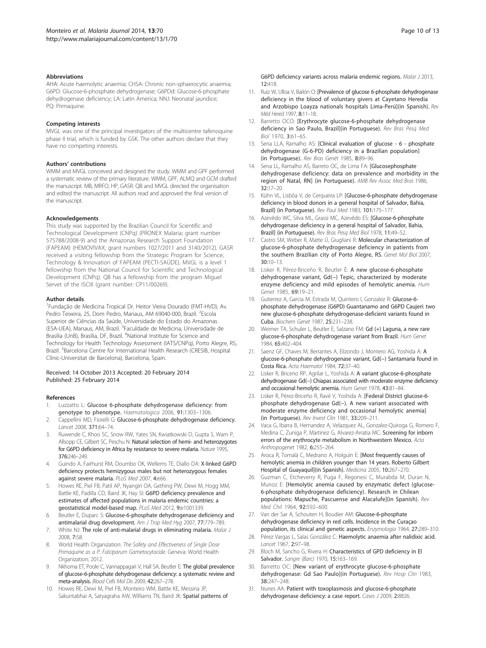#### <span id="page-9-0"></span>Abbreviations

AHA: Acute haemolytic anaemia; CHSA: Chronic non-sphaerocytic anaemia; G6PD: Glucose-6-phosphate dehydrogenase; G6PDd: Glucose-6-phosphate dehydrogenase deficiency; LA: Latin America; NNJ: Neonatal jaundice; PQ: Primaquine.

#### Competing interests

MVGL was one of the principal investigators of the multicentre tafenoquine phase II trial, which is funded by GSK. The other authors declare that they have no competing interests.

#### Authors' contributions

WMM and MVGL conceived and designed the study. WMM and GPF performed a systematic review of the primary literature. WMM, GPF, ALMQ and GCM drafted the manuscript. MB, MRFO, HP, GASR. QB and MVGL directed the organisation and edited the manuscript. All authors read and approved the final version of the manuscript.

#### Acknowledgements

This study was supported by the Brazilian Council for Scientific and Technological Development (CNPq) (PRONEX Malaria; grant number 575788/2008-9) and the Amazonas Research Support Foundation (FAPEAM) (HEMOVIVAX; grant numbers 1027/2011 and 3140/2012). GASR received a visiting fellowship from the Strategic Program for Science, Technology & Innovation of FAPEAM (PECTI-SAÚDE). MVGL is a level 1 fellowship from the National Council for Scientific and Technological Development (CNPq). QB has a fellowship from the program Miguel Servet of the ISCIII (grant number: CP11/00269).

#### Author details

1 Fundação de Medicina Tropical Dr. Heitor Vieira Dourado (FMT-HVD), Av. Pedro Teixeira, 25, Dom Pedro, Manaus, AM 69040-000, Brazil. <sup>2</sup>Escola Superior de Ciências da Saúde, Universidade do Estado do Amazonas (ESA-UEA), Manaus, AM, Brazil. <sup>3</sup>Faculdade de Medicina, Universidade de Brasília (UnB), Brasília, DF, Brazil. <sup>4</sup>National Institute for Science and Technology for Health Technology Assessment (IATS/CNPq), Porto Alegre, RS, Brazil. <sup>5</sup>Barcelona Centre for International Health Research (CRESIB, Hospital Clínic-Universitat de Barcelona), Barcelona, Spain.

#### Received: 14 October 2013 Accepted: 20 February 2014 Published: 25 February 2014

#### References

- 1. Luzzatto L: Glucose 6-phosphate dehydrogenase deficiency: from genotype to phenotype. Haematologica 2006, 91:1303–1306.
- 2. Cappellini MD, Fiorelli G: Glucose-6-phosphate dehydrogenase deficiency. Lancet 2008, 371:64–74.
- 3. Ruwende C, Khoo SC, Snow RW, Yates SN, Kwiatkowski D, Gupta S, Warn P, Allsopp CE, Gilbert SC, Peschu N: Natural selection of hemi- and heterozygotes for G6PD deficiency in Africa by resistance to severe malaria. Nature 1995, 376:246–249.
- 4. Guindo A, Fairhurst RM, Doumbo OK, Wellems TE, Diallo DA: X-linked G6PD deficiency protects hemizygous males but not heterozygous females against severe malaria. PLoS Med 2007, 4:e66.
- 5. Howes RE, Piel FB, Patil AP, Nyangiri OA, Gething PW, Dewi M, Hogg MM, Battle KE, Padilla CD, Baird JK, Hay SI: G6PD deficiency prevalence and estimates of affected populations in malaria endemic countries: a geostatistical model-based map. PLoS Med 2012, 9:e1001339.
- 6. Beutler E, Duparc S: Glucose-6-phosphate dehydrogenase deficiency and antimalarial drug development. Am J Trop Med Hyg 2007, 77:779–789.
- 7. White NJ: The role of anti-malarial drugs in eliminating malaria. Malar J 2008, 7:S8.
- 8. World Health Organization: The Safety and Effectiveness of Single Dose Primaquine as a P. Falciparum Gametocytocide. Geneva: World Health Organization; 2012.
- Nkhoma ET, Poole C, Vannappagari V, Hall SA, Beutler E: The global prevalence of glucose-6-phosphate dehydrogenase deficiency: a systematic review and meta-analysis. Blood Cells Mol Dis 2009, 42:267–278.
- 10. Howes RE, Dewi M, Piel FB, Monteiro WM, Battle KE, Messina JP, Sakuntabhai A, Satyagraha AW, Williams TN, Baird JK: Spatial patterns of

G6PD deficiency variants across malaria endemic regions. Malar J 2013, 12:418.

- 11. Ruiz W, Ulloa V, Bailón O: [Prevalence of glucose 6-phosphate dehydrogenase deficiency in the blood of voluntary givers at Cayetano Heredia and Arzobispo Loayza nationals hospitals Lima-Perú](in Spanish). Rev Méd Hered 1997, 8:11–18.
- 12. Barretto OCO: [Erythrocyte glucose-6-phosphate dehydrogenase deficiency in Sao Paulo, Brazil](in Portuguese). Rev Bras Pesq Med Biol 1970, 3:61–65.
- 13. Sena LLA, Ramalho AS: [Clinical evaluation of glucose 6 phosphate dehydrogenase (G-6-PD) deficiency in a Brazilian population] (in Portuguese). Rev Bras Genét 1985, 8:89–96.
- 14. Sena LL, Ramalho AS, Barreto OC, de Lima FA: [Glucosephosphate dehydrogenase deficiency: data on prevalence and morbidity in the region of Natal, RN] (in Portuguese). AMB Rev Assoc Med Bras 1986, 32:17–20.
- 15. Kühn VL, Lisbôa V, de Cerqueira LP: [Glucose-6-phosphate dehydrogenase deficiency in blood donors in a general hospital of Salvador, Bahia, Brazil] (in Portuguese). Rev Paul Med 1983, 101:175-177.
- 16. Azevêdo WC, Silva ML, Grassi MC, Azevêdo ES: [Glucose-6-phosphate dehydrogenase deficiency in a general hospital of Salvador, Bahia, Brazil] (in Portuguese). Rev Bras Pesq Med Biol 1978, 11:49–52.
- 17. Castro SM, Weber R, Matte Ú, Giugliani R: Molecular characterization of glucose-6-phosphate dehydrogenase deficiency in patients from the southern Brazilian city of Porto Alegre, RS. Genet Mol Biol 2007,  $30.10 - 13$
- 18. Lisker R, Pérez-Briceño R, Beutler E: A new glucose-6-phosphate dehydrogenase variant, Gd(−) Tepic, characterized by moderate enzyme deficiency and mild episodes of hemolytic anemia. Hum Genet 1985, 69:19–21.
- 19. Gutierrez A, Garcia M, Estrada M, Quintero I, Gonzalez R: Glucose-6phosphate dehydrogenase (G6PD) Guantanamo and G6PD Caujeri: two new glucose-6-phosphate dehydrogenase-deficient variants found in Cuba. Biochem Genet 1987, 25:231–238.
- 20. Weimer TA, Schuler L, Beutler E, Salzano FM: Gd (+) Laguna, a new rare glucose-6-phosphate dehydrogenase variant from Brazil. Hum Genet 1984, 65:402–404.
- 21. Saenz GF, Chaves M, Berrantes A, Elizondo J, Montero AG, Yoshida A: A glucose-6-phosphate dehydrogenase variant, Gd(−) Santamaria found in Costa Rica. Acta Haematol 1984, 72:37–40.
- 22. Lisker R, Briceno RP, Agrilar L, Yoshida A: A variant glucose-6-phosphate dehydrogenase Gd(−) Chiapas associated with moderate enzyme deficiency and occasional hemolytic anemia. Hum Genet 1978, 43:81-84.
- 23. Lisker R, Pérez-Briceño R, Ravé V, Yoshida A: [Federal District glucose-6phosphate dehydrogenase Gd(−). A new variant associated with moderate enzyme deficiency and occasional hemolytic anemia] (in Portuguese). Rev Invest Clin 1981, 33:209–211.
- 24. Vaca G, Ibarra B, Hernandez A, Velazquez AL, Gonzalez-Quiroga G, Romero F, Medina C, Zuniga P, Martinez G, Alvarez-Arratia MC: Screening for inborn errors of the erythrocyte metabolism in Northwestern Mexico. Acta Anthropogenet 1982, 6:255–264.
- 25. Aroca R, Tomalá C, Medrano A, Holguín E: [Most frequently causes of hemolytic anemia in children younger than 14 years. Roberto Gilbert Hospital of Guayaquil](in Spanish). Medicina 2005, 10:267–270.
- 26. Guzman C, Etcheverry R, Puga F, Regonesi C, Murabda M, Duran N, Munoz E: [Hemolytic anemia caused by enzymatic defect (glucose-6-phosphate dehydrogenase deficiency). Research in Chilean populations: Mapuche, Pascuense and Alacalufe](in Spanish). Rev Med Chil 1964, 92:592–600.
- 27. Van der Sar A, Schouten H, Boudier AM: Glucose-6-phosphate dehydrogenase deficiency in red cells. Incidence in the Curaçao population, its clinical and genetic aspects. Enzymologia 1964, 27:289–310.
- 28. Pérez Vargas L, Salas González C: Haemolytic anaemia after nalidixic acid. Lancet 1967, 2:97–98.
- 29. Bloch M, Sancho G, Rivera H: Characteristics of GPD deficiency in El Salvador. Sangre (Barc) 1970, 15:163–169.
- 30. Barretto OC: [New variant of erythrocyte glucose-6-phosphate dehydrogenase: Gd Sao Paulo](in Portuguese). Rev Hosp Clin 1983, 38:247–248.
- 31. Nunes AA: Patient with toxoplasmosis and glucose-6-phosphate dehydrogenase deficiency: a case report. Cases J 2009, 2:8826.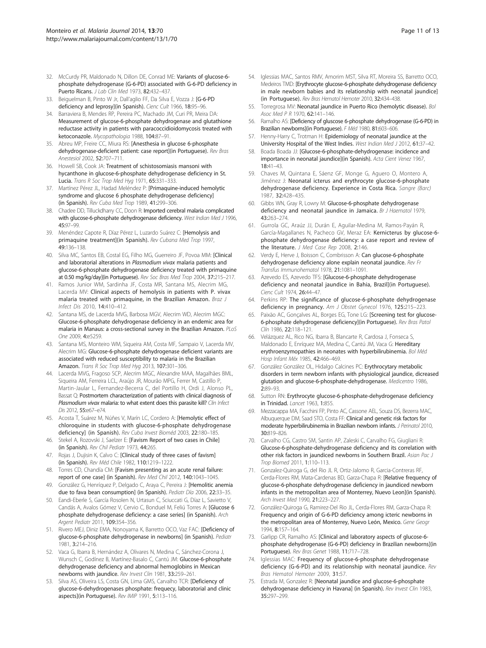- <span id="page-10-0"></span>32. McCurdy PR, Maldonado N, Dillon DE, Conrad ME: Variants of glucose-6 phosphate dehydrogenase (G-6-PD) associated with G-6-PD deficiency in Puerto Ricans. J Lab Clin Med 1973, 82:432-437.
- 33. Beiguelman B, Pinto W Jr, Dall'aglio FF, Da Silva E, Vozza J: [G-6-PD deficiency and leprosy](in Spanish). Cienc Cult 1966, 18:95-96.
- 34. Barraviera B, Mendes RP, Pereira PC, Machado JM, Curi PR, Meira DA: Measurement of glucose-6-phosphate dehydrogenase and glutathione reductase activity in patients with paracoccidioidomycosis treated with ketoconazole. Mycopathologia 1988, 104:87–91.
- 35. Abreu MP, Freire CC, Miura RS: [Anesthesia in glucose 6-phosphate dehydrogenase-deficient patient: case report](in Portuguese). Rev Bras Anestesiol 2002, 52:707–711.
- 36. Howell SB, Cook JA: Treatment of schistosomiasis mansoni with hycanthone in glucose-6-phosphate dehydrogenase deficiency in St. Lucia. Trans R Soc Trop Med Hyg 1971, 65:331-333.
- 37. Martínez Pérez JL, Hadad Meléndez P: [Primaquine-induced hemolytic syndrome and glucose 6 phosphate dehydrogenase deficiency] (in Spanish). Rev Cuba Med Trop 1989, 41:299–306.
- 38. Chadee DD, Tilluckdharry CC, Doon R: Imported cerebral malaria complicated with glucose-6-phosphate dehydrogenase deficiency. West Indian Med J 1996, 45:97–99.
- 39. Menéndez Capote R, Díaz Pérez L, Luzardo Suárez C: [Hemolysis and primaquine treatment](in Spanish). Rev Cubana Med Trop 1997, 49:136–138.
- 40. Silva MC, Santos EB, Costal EG, Filho MG, Guerreiro JF, Povoa MM: [Clinical and laboratorial alterations in Plasmodium vivax malaria patients and glucose-6-phosphate dehydrogenase deficiency treated with primaquine at 0.50 mg/kg/day](in Portuguese). Rev Soc Bras Med Trop 2004, 37:215–217.
- 41. Ramos Junior WM, Sardinha JF, Costa MR, Santana MS, Alecrim MG, Lacerda MV: Clinical aspects of hemolysis in patients with P. vivax malaria treated with primaquine, in the Brazilian Amazon. Braz J Infect Dis 2010, 14:410–412.
- 42. Santana MS, de Lacerda MVG, Barbosa MGV, Alecrim WD, Alecrim MGC: Glucose-6-phosphate dehydrogenase deficiency in an endemic area for malaria in Manaus: a cross-sectional survey in the Brazilian Amazon. PLoS One 2009, 4:e5259.
- 43. Santana MS, Monteiro WM, Siqueira AM, Costa MF, Sampaio V, Lacerda MV, Alecrim MG: Glucose-6-phosphate dehydrogenase deficient variants are associated with reduced susceptibility to malaria in the Brazilian Amazon. Trans R Soc Trop Med Hyg 2013, 107:301–306.
- 44. Lacerda MVG, Fragoso SCP, Alecrim MGC, Alexandre MAA, Magalhães BML, Siqueira AM, Ferreira LCL, Araújo JR, Mourão MPG, Ferrer M, Castillo P, Martin-Jaular L, Fernandez-Becerra C, del Portillo H, Ordi J, Alonso PL, Bassat Q: Postmortem characterization of patients with clinical diagnosis of Plasmodium vivax malaria: to what extent does this parasite kill? Clin Infect Dis 2012, 55:e67–e74.
- 45. Acosta T, Suárez M, Núñes V, Marín LC, Cordero A: [Hemolytic effect of chloroquine in students with glucose-6-phosphate dehydrogenase deficiency] (in Spanish). Rev Cuba Invest Bioméd 2003, 22:180–185.
- 46. Stekel A, Rozovski J, Saelzer E: [Favism Report of two cases in Chile] (in Spanish). Rev Chil Pediatr 1973, 44:265.
- 47. Rojas J, Dujisin K, Calvo C: [Clinical study of three cases of favism] (in Spanish). Rev Méd Chile 1982, 110:1219–1222.
- 48. Torres CD, Chandía CM: [Favism presenting as an acute renal failure: report of one case] (in Spanish). Rev Med Chil 2012, 140:1043–1045.
- 49. González G, Henríquez P, Delgado C, Araya C, Pereira J: [Hemolitic anemia due to fava bean consumption] (in Spanish). Pediatr Día 2006, 22:33–35.
- 50. Eandi-Eberle S, García Rosolen N, Urtasun C, Sciuccati G, Díaz L, Savietto V, Candás A, Avalos Gómez V, Cervio C, Bonduel M, Feliú Torres A: [Glucose 6 phosphate dehydrogenase deficiency: a case series] (in Spanish). Arch Argent Pediatr 2011, 109:354–356.
- 51. Rivero MEJ, Diniz EMA, Nonoyama K, Barretto OCO, Vaz FAC: [Deficiency of glucose-6-phosphate dehydrogenase in newborns] (in Spanish). Pediatr 1981, 3:214–216.
- 52. Vaca G, Ibarra B, Hernández A, Olivares N, Medina C, Sánchez-Corona J, Wunsch C, Godínez B, Martínez-Basalo C, Cantú JM: Glucose-6-phosphate dehydrogenase deficiency and abnormal hemoglobins in Mexican newborns with jaundice. Rev Invest Clin 1981, 33:259–261.
- 53. Silva AS, Oliveira LS, Costa GN, Lima GMS, Carvalho TCR: [Deficiency of glucose-6-dehydrogenases phosphate: frequecy, laboratorial and clinic aspects](in Portuguese). Rev IMIP 1991, 5:113–116.
- 54. Iglessias MAC, Santos RMV, Amorim MST, Silva RT, Moreira SS, Barretto OCO, Medeiros TMD: [Erythrocyte glucose-6-phosphate dehydrogenase deficiency in male newborn babies and its relationship with neonatal jaundice] (in Portuguese). Rev Bras Hematol Hemoter 2010, 32:434–438.
- 55. Torregrosa MV: Neonatal jaundice in Puerto Rico (hemolytic disease). Bol Asoc Med P R 1970, 62:141–146.
- 56. Ramalho AS: [Deficiency of gluscose 6-phosphate dehydrogenase (G-6-PD) in Brazilian newborns](in Portuguese). F Méd 1980, 81:603–606.
- 57. Henny-Harry C, Trotman H: Epidemiology of neonatal jaundice at the University Hospital of the West Indies. West Indian Med J 2012, 61:37–42.
- 58. Boada Boada JJ: [Glucose-6-phosphate-dehydrogenase: incidence and importance in neonatal jaundice](in Spanish). Acta Cient Venez 1967, 18:41–43.
- 59. Chaves M, Quintana E, Sáenz GF, Monge G, Aguero O, Montero A, Jiménez J: Neonatal icterus and erythrocyte glucose-6-phosphate dehydrogenase deficiency. Experience in Costa Rica. Sangre (Barc) 1987, 32:428–435.
- 60. Gibbs WN, Gray R, Lowry M: Glucose-6-phosphate dehydrogenase deficiency and neonatal jaundice in Jamaica. Br J Haematol 1979, 43:263–274.
- 61. Gurrola GC, Araúz JJ, Durán E, Aguilar-Medina M, Ramos-Payán R, García-Magallanes N, Pacheco GV, Meraz EA: Kernicterus by glucose-6 phosphate dehydrogenase deficiency: a case report and review of the literature. J Med Case Rep 2008, 2:146.
- Verdy E, Herve J, Boisson C, Combrisson A: Can glucose-6-phosphate dehydrogenase deficiency alone explain neonatal jaundice. Rev Fr Transfus Immunohematol 1978, 21:1081–1091.
- 63. Azevedo ES, Azevedo TFS: [Glucose-6-phosphate dehydrogenase deficiency and neonatal jaundice in Bahia, Brazil](in Portuguese). Cienc Cult 1974, 26:44–47.
- 64. Perkins RP: The significance of glucose-6-phosphate dehydrogenase deficiency in pregnancy. Am J Obstet Gynecol 1976, 125:215-223.
- 65. Paixäo AC, Gonçalves AL, Borges EG, Tone LG: [Screening test for glucose-6-phosphate dehydrogenase deficiency](in Portuguese). Rev Bras Patol Clín 1986, 22:118–121.
- 66. Velázquez AL, Rico NG, Ibarra B, Blancarte R, Cardosa J, Fonseca S, Maldonado E, Enríquez MA, Medina C, Cantú JM, Vaca G: Hereditary erythroenzymopathies in neonates with hyperbilirubinemia. Bol Méd Hosp Infant Méx 1985, 42:466–469.
- 67. González González OL, Hidalgo Calcines PC: Erythrocytary metabolic disorders in term newborn infants with physiological jaundice, dicreased glutation and glucose-6-phosphate-dehydrogenase. Medicentro 1986, 2:89–93.
- 68. Sutton RN: Erythrocyte glucose-6-phosphate-dehydrogenase deficiency in Trinidad. Lancet 1963, 1:855.
- 69. Mezzacappa MA, Facchini FP, Pinto AC, Cassone AEL, Souza DS, Bezerra MAC, Albuquerque DM, Saad STO, Costa FF: Clinical and genetic risk factors for moderate hyperbilirubinemia in Brazilian newborn infants. J Perinatol 2010, 30:819–826.
- 70. Carvalho CG, Castro SM, Santin AP, Zaleski C, Carvalho FG, Giugliani R: Glucose-6-phosphate-dehydrogenase deficiency and its correlation with other risk factors in jaundiced newborns in Southern Brazil. Asian Pac J Trop Biomed 2011, 1:110–113.
- 71. Gonzalez-Quiroga G, del Rio JL R, Ortiz-Jalomo R, Garcia-Contreras RF, Cerda-Flores RM, Mata-Cardenas BD, Garza-Chapa R: [Relative frequency of glucose-6-phosphate dehydrogenase deficiency in jaundiced newborn infants in the metropolitan area of Monterrey, Nuevo Leon](in Spanish). Arch Invest Med 1990, 21:223–227.
- 72. González-Quiroga G, Ramirez-Del Rio JL, Cerda-Flores RM, Garza-Chapa R: Frequency and origin of G-6-PD deficiency among icteric newborns in the metropolitan area of Monterrey, Nuevo León, Mexico. Gene Geogr 1994, 8:157–164.
- 73. Garlipp CR, Ramalho AS: [Clinical and laboratory aspects of glucose-6phosphate dehydrogenase (G-6-PD) deficiency in Brazilian newborns](in Portuguese). Rev Bras Genet 1988, 11:717–728.
- Iglessias MAC: Frequency of glucose-6-phosphate dehydrogenase deficiency (G-6-PD) and its relationship with neonatal jaundice. Rev Bras Hematol Hemoter 2009, 31:57.
- 75. Estrada M, Gonzalez R: [Neonatal jaundice and glucose-6-phosphate dehydrogenase deficiency in Havana] (in Spanish). Rev Invest Clin 1983, 35:297–299.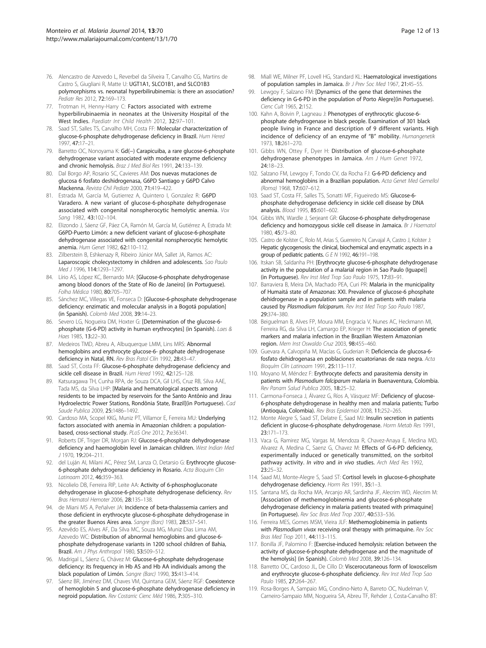- <span id="page-11-0"></span>76. Alencastro de Azevedo L, Reverbel da Silveira T, Carvalho CG, Martins de Castro S, Giugliani R, Matte U: UGT1A1, SLCO1B1, and SLCO1B3 polymorphisms vs. neonatal hyperbilirubinemia: is there an association? Pediatr Res 2012, 72:169–173.
- 77. Trotman H, Henny-Harry C: Factors associated with extreme hyperbilirubinaemia in neonates at the University Hospital of the West Indies. Paediatr Int Child Health 2012, 32:97–101.
- 78. Saad ST, Salles TS, Carvalho MH, Costa FF: Molecular characterization of glucose-6-phosphate dehydrogenase deficiency in Brazil. Hum Hered 1997, 47:17–21.
- 79. Barretto OC, Nonoyama K: Gd(−) Carapicuiba, a rare glucose-6-phosphate dehydrogenase variant associated with moderate enzyme deficiency and chronic hemolysis. Braz J Med Biol Res 1991, 24:133–139.
- 80. Dal Borgo AP, Rosario SC, Cavieres AM: Dos nuevas mutaciones de glucosa 6 fosfato deshidrogenasa, G6PD Santiago y G6PD Calvo Mackenna. Revista Chil Pediatr 2000, 71:419–422.
- 81. Estrada M, García M, Gutierrez A, Quintero I, Gonzalez R: G6PD Varadero. A new variant of glucose-6-phosphate dehydrogenase associated with congenital nonspherocytic hemolytic anemia. Vox Sang 1982, 43:102–104.
- 82. Elizondo J, Sáenz GF, Páez CA, Ramón M, García M, Gutiérrez A, Estrada M: G6PD-Puerto Limón: a new deficient variant of glucose-6-phosphate dehydrogenase associated with congenital nonspherocytic hemolytic anemia. Hum Genet 1982, 62:110–112.
- Zilberstein B, Eshkenazy R, Ribeiro Júnior MA, Sallet JA, Ramos AC: Laparoscopic cholecystectomy in children and adolescents. Sao Paulo Med J 1996, 114:1293–1297.
- 84. Lírio AS, López KC, Bernardo MA: [Glucose-6-phosphate dehydrogenase among blood donors of the State of Rio de Janeiro] (in Portuguese). Folha Médica 1980, 80:705–707.
- 85. Sánchez MC, Villegas VE, Fonseca D: [Glucose-6-phosphate dehydrogenase deficiency: enzimatic and molecular analysis in a Bogotá population] (in Spanish). Colomb Med 2008, 39:14–23.
- 86. Severo LG, Nogueira DM, Hoxter G: [Determination of the glucose-6 phosphate (G-6-PD) activity in human erythrocytes] (in Spanish). Laes & Haes 1985, 13:22-30.
- 87. Medeiros TMD, Abreu A, Albuquerque LMM, Lins MRS: Abnormal hemoglobins and erythrocyte glucose-6- phosphate dehydrogenase deficiency in Natal, RN. Rev Bras Patol Clín 1992, 28:43–47.
- 88. Saad ST, Costa FF: Glucose-6-phosphate dehydrogenase deficiency and sickle cell disease in Brazil. Hum Hered 1992, 42:125–128.
- 89. Katsuragawa TH, Cunha RPA, de Souza DCA, Gil LHS, Cruz RB, Silva AAE, Tada MS, da Silva LHP: [Malaria and hematological aspects among residents to be impacted by reservoirs for the Santo Antônio and Jirau Hydroelectric Power Stations, Rondônia State, Brazil](in Portuguese). Cad Saude Publica 2009, 25:1486–1492.
- 90. Cardoso MA, Scopel KKG, Muniz PT, Villamor E, Ferreira MU: Underlying factors associated with anemia in Amazonian children: a populationbased, cross-sectional study. PLoS One 2012, 7:e36341.
- 91. Roberts DF, Triger DR, Morgan RJ: Glucose-6-phosphate dehydrogenase deficiency and haemoglobin level in Jamaican children. West Indian Med J 1970, 19:204–211.
- 92. del Luján AI, Milani AC, Pérez SM, Lanza O, Detarsio G: Erythrocyte glucose-6-phosphate dehydrogenase deficiency in Rosario. Acta Bioquim Clin Latinoam 2012, 46:359–363.
- 93. Nicolielo DB, Ferreira RIP, Leite AA: Activity of 6-phosphogluconate dehydrogenase in glucose-6-phosphate dehydrogenase deficiency. Rev Bras Hematol Hemoter 2006, 28:135–138.
- 94. de Miani MS A, Peñalver JA: Incidence of beta-thalassemia carriers and those deficient in erythrocyte glucose-6-phosphate dehydrogenase in the greater Buenos Aires area. Sangre (Barc) 1983, 28:537-541.
- 95. Azevêdo ES, Alves AF, Da Silva MC, Souza MG, Muniz Dias Lima AM, Azevedo WC: Distribution of abnormal hemoglobins and glucose-6 phosphate dehydrogenase variants in 1200 school children of Bahia, Brazil. Am J Phys Anthropol 1980, 53:509–512.
- 96. Madrigal L, Sáenz G, Chávez M: Glucose-6-phosphate dehydrogenase deficiency: its frequency in Hb AS and Hb AA individuals among the black population of Limón. Sangre (Barc) 1990, 35:413–414.
- 97. Sáenz BR, Jiménez DM, Chaves VM, Quintana GEM, Sáenz RGF: Coexistence of hemoglobin S and glucose-6-phosphate dehydrogenase deficiency in negroid population. Rev Costarric Cienc Méd 1986, 7:305–310.
- 98. Miall WE, Milner PF, Lovell HG, Standard KL: Haematological investigations of population samples in Jamaica. Br J Prev Soc Med 1967, 21:45–55.
- 99. Lewgoy F, Salzano FM: [Dynamics of the gene that determines the deficiency in G-6-PD in the population of Porto Alegre](in Portuguese). Cienc Cult 1965, 2:152.
- 100. Kahn A, Boivin P, Lagneau J: Phenotypes of erythrocytic glucose-6phosphate dehydrogenase in black people. Examination of 301 black people living in France and description of 9 different variants. High incidence of deficiency of an enzyme of "B" mobility. Humangenetik 1973, 18:261–270.
- 101. Gibbs WN, Ottey F, Dyer H: Distribution of glucose-6-phosphate dehydrogenase phenotypes in Jamaica. Am J Hum Genet 1972, 24:18–23.
- 102. Salzano FM, Lewgoy F, Tondo CV, da Rocha FJ: G-6-PD deficiency and abnormal hemoglobins in a Brazilian population. Acta Genet Med Gemellol (Roma) 1968, 17:607–612.
- 103. Saad ST, Costa FF, Salles TS, Sonatti MF, Figueiredo MS: Glucose-6 phosphate dehydrogenase deficiency in sickle cell disease by DNA analysis. Blood 1995, 85:601–602.
- 104. Gibbs WN, Wardle J, Serjeant GR: Glucose-6-phosphate dehydrogenase deficiency and homozygous sickle cell disease in Jamaica. Br J Haematol 1980, 45:73–80.
- 105. Castro de Kolster C, Rolo M, Arias S, Guerreiro N, Carvajal A, Castro J, Kolster J: Hepatic glycogenosis: the clinical, biochemical and enzymatic aspects in a group of pediatric patients. GEN 1992, 46:191–198.
- 106. Itskan SB, Saldanha PH: [Erythrocyte glucose-6-phosphate dehydrogenase activity in the population of a malarial region in Sao Paulo (Iguape)] (in Portuguese). Rev Inst Med Trop Sao Paulo 1975, 17:83–91.
- 107. Barraviera B, Meira DA, Machado PEA, Curi PR: Malaria in the municipality of Humaitá state of Amazonas: XXI. Prevalence of glucose-6 phosphate dehidrogenase in a population sample and in patients with malaria caused by Plasmodium falciparum. Rev Inst Med Trop Sao Paulo 1987, 29:374–380.
- 108. Beiguelman B, Alves FP, Moura MM, Engracia V, Nunes AC, Heckmann MI, Ferreira RG, da Silva LH, Camargo EP, Krieger H: The association of genetic markers and malaria infection in the Brazilian Western Amazonian region. Mem Inst Oswaldo Cruz 2003, 98:455–460.
- 109. Guevara A, Calvopiña M, Macías G, Guderian R: Deficiencia de glucosa-6fosfato dehidrogenasa en poblaciones ecuatorianas de raza negra. Acta Bioquím Clín Latinoam 1991, 25:113–117.
- 110. Moyano M, Méndez F: Erythrocyte defects and parasitemia density in patients with Plasmodium falciparum malaria in Buenaventura, Colombia. Rev Panam Salud Publica 2005, 18:25-32.
- 111. Carmona-Fonseca J, Álvarez G, Ríos A, Vásquez MF: Deficiency of glucose-6-phosphate dehydrogenase in healthy men and malaria patients; Turbo (Antioquia, Colombia). Rev Bras Epidemiol 2008, 11:252–265.
- 112. Monte Alegre S, Saad ST, Delatre E, Saad MJ: Insulin secretion in patients deficient in glucose-6-phosphate dehydrogenase. Horm Metab Res 1991, 23:171–173.
- 113. Vaca G, Ramirez MG, Vargas M, Mendoza R, Chavez-Anaya E, Medina MD, Alvarez A, Medina C, Saenz G, Chavez M: Effects of G-6-PD deficiency, experimentally induced or genetically transmitted, on the sorbitol pathway activity. In vitro and in vivo studies. Arch Med Res 1992, 23:25–32.
- 114. Saad MJ, Monte-Alegre S, Saad ST: Cortisol levels in glucose-6-phosphate dehydrogenase deficiency. Horm Res 1991, 35:1–3.
- 115. Santana MS, da Rocha MA, Arcanjo AR, Sardinha JF, Alecrim WD, Alecrim M: [Association of methemoglobinemia and glucose-6-phosphate dehydrogenase deficiency in malaria patients treated with primaquine] (in Portuguese). Rev Soc Bras Med Trop 2007, 40:533–536.
- 116. Ferreira MES, Gomes MSM, Vieira JLF: Methemoglobinemia in patients with Plasmodium vivax receiving oral therapy with primaquine. Rev Soc Bras Med Trop 2011, 44:113–115.
- 117. Bonilla JF, Palomino F: [Exercise-induced hemolysis: relation between the activity of glucose-6-phosphate dehydrogenase and the magnitude of the hemolysis] (in Spanish). Colomb Med 2008, 39:126–134.
- 118. Barretto OC, Cardoso JL, De Cillo D: Viscerocutaneous form of loxoscelism and erythrocyte glucose-6-phosphate deficiency. Rev Inst Med Trop Sao Paulo 1985, 27:264–267.
- 119. Rosa-Borges A, Sampaio MG, Condino-Neto A, Barreto OC, Nudelman V, Carneiro-Sampaio MM, Nogueira SA, Abreu TF, Rehder J, Costa-Carvalho BT: